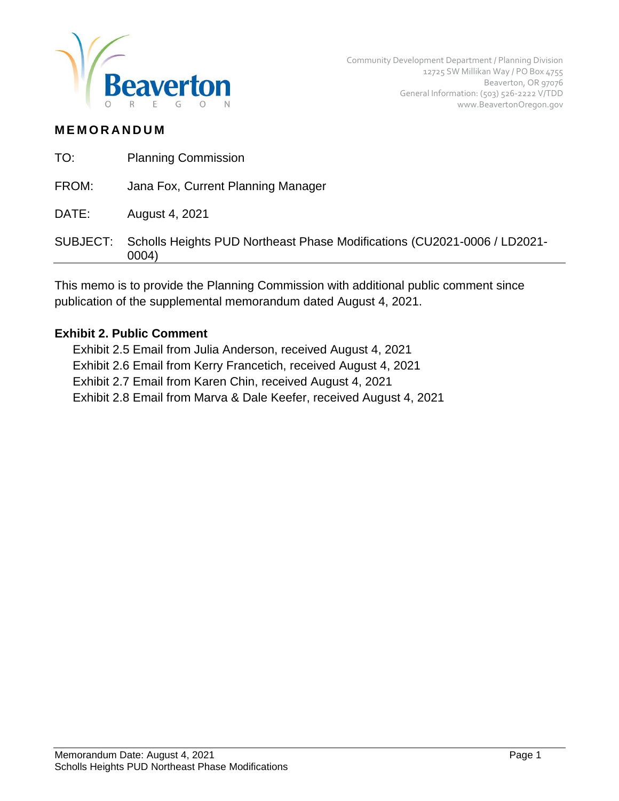

# **M E M O R A N D U M**

| TO:      | <b>Planning Commission</b>                                                        |
|----------|-----------------------------------------------------------------------------------|
| FROM:    | Jana Fox, Current Planning Manager                                                |
| DATE:    | August 4, 2021                                                                    |
| SUBJECT: | Scholls Heights PUD Northeast Phase Modifications (CU2021-0006 / LD2021-<br>0004) |
|          |                                                                                   |

This memo is to provide the Planning Commission with additional public comment since publication of the supplemental memorandum dated August 4, 2021.

## **Exhibit 2. Public Comment**

Exhibit 2.5 Email from Julia Anderson, received August 4, 2021 Exhibit 2.6 Email from Kerry Francetich, received August 4, 2021 Exhibit 2.7 Email from Karen Chin, received August 4, 2021 Exhibit 2.8 Email from Marva & Dale Keefer, received August 4, 2021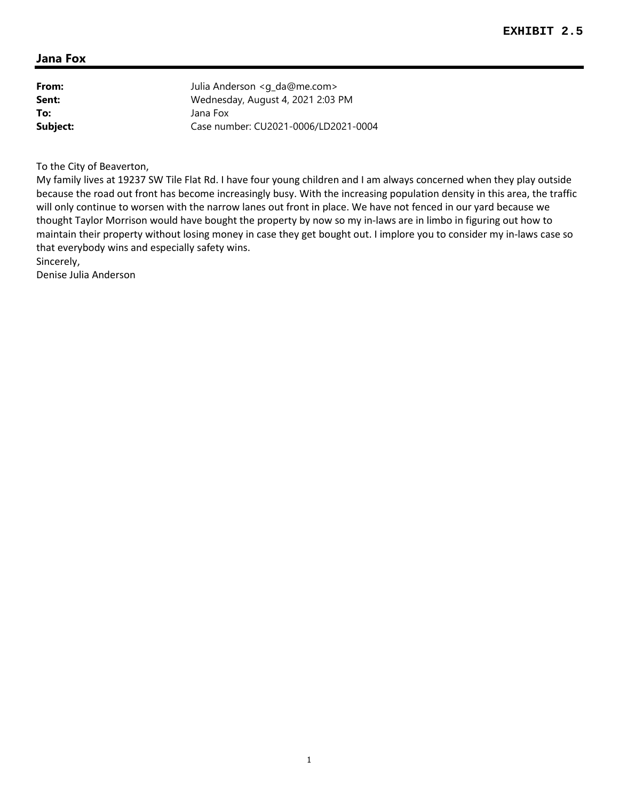| From:    | Julia Anderson <g_da@me.com></g_da@me.com> |
|----------|--------------------------------------------|
| Sent:    | Wednesday, August 4, 2021 2:03 PM          |
| To:      | Jana Fox                                   |
| Subject: | Case number: CU2021-0006/LD2021-0004       |

To the City of Beaverton,

My family lives at 19237 SW Tile Flat Rd. I have four young children and I am always concerned when they play outside because the road out front has become increasingly busy. With the increasing population density in this area, the traffic will only continue to worsen with the narrow lanes out front in place. We have not fenced in our yard because we thought Taylor Morrison would have bought the property by now so my in-laws are in limbo in figuring out how to maintain their property without losing money in case they get bought out. I implore you to consider my in-laws case so that everybody wins and especially safety wins.

Sincerely,

Denise Julia Anderson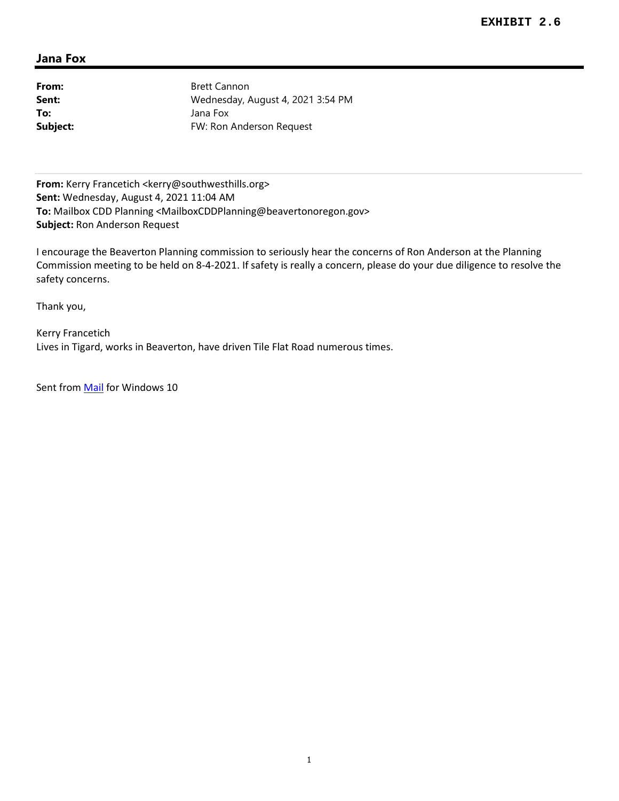From: Brett Cannon **Sent:** Wednesday, August 4, 2021 3:54 PM **To:** Jana Fox **Subject:** FW: Ron Anderson Request

From: Kerry Francetich <kerry@southwesthills.org> **Sent:** Wednesday, August 4, 2021 11:04 AM **To:** Mailbox CDD Planning <MailboxCDDPlanning@beavertonoregon.gov> **Subject:** Ron Anderson Request

I encourage the Beaverton Planning commission to seriously hear the concerns of Ron Anderson at the Planning Commission meeting to be held on 8-4-2021. If safety is really a concern, please do your due diligence to resolve the safety concerns.

Thank you,

Kerry Francetich Lives in Tigard, works in Beaverton, have driven Tile Flat Road numerous times.

Sent from Mail for Windows 10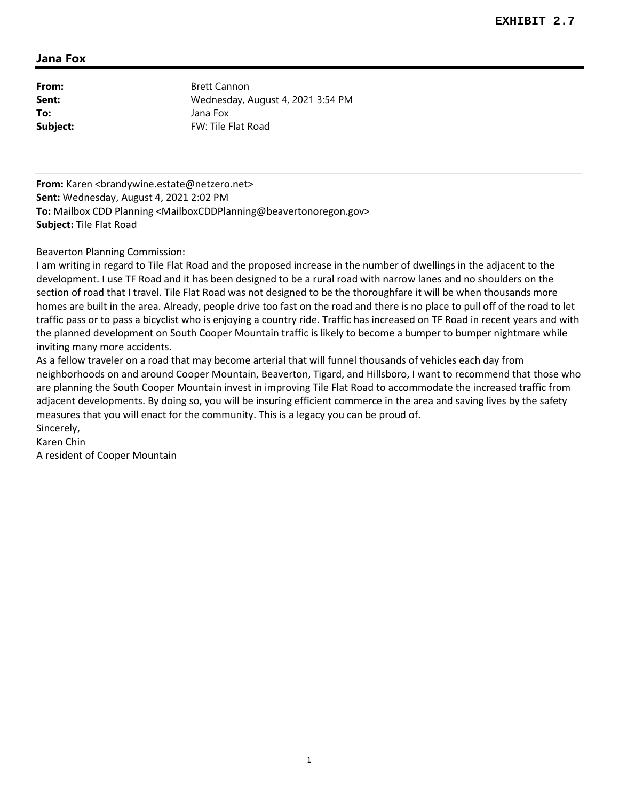**From:** Brett Cannon **Sent:** Wednesday, August 4, 2021 3:54 PM **To:** Jana Fox **Subject:** FW: Tile Flat Road

From: Karen <br />brandywine.estate@netzero.net> **Sent:** Wednesday, August 4, 2021 2:02 PM **To:** Mailbox CDD Planning <MailboxCDDPlanning@beavertonoregon.gov> **Subject:** Tile Flat Road

Beaverton Planning Commission:

I am writing in regard to Tile Flat Road and the proposed increase in the number of dwellings in the adjacent to the development. I use TF Road and it has been designed to be a rural road with narrow lanes and no shoulders on the section of road that I travel. Tile Flat Road was not designed to be the thoroughfare it will be when thousands more homes are built in the area. Already, people drive too fast on the road and there is no place to pull off of the road to let traffic pass or to pass a bicyclist who is enjoying a country ride. Traffic has increased on TF Road in recent years and with the planned development on South Cooper Mountain traffic is likely to become a bumper to bumper nightmare while inviting many more accidents.

As a fellow traveler on a road that may become arterial that will funnel thousands of vehicles each day from neighborhoods on and around Cooper Mountain, Beaverton, Tigard, and Hillsboro, I want to recommend that those who are planning the South Cooper Mountain invest in improving Tile Flat Road to accommodate the increased traffic from adjacent developments. By doing so, you will be insuring efficient commerce in the area and saving lives by the safety measures that you will enact for the community. This is a legacy you can be proud of. Sincerely,

Karen Chin

A resident of Cooper Mountain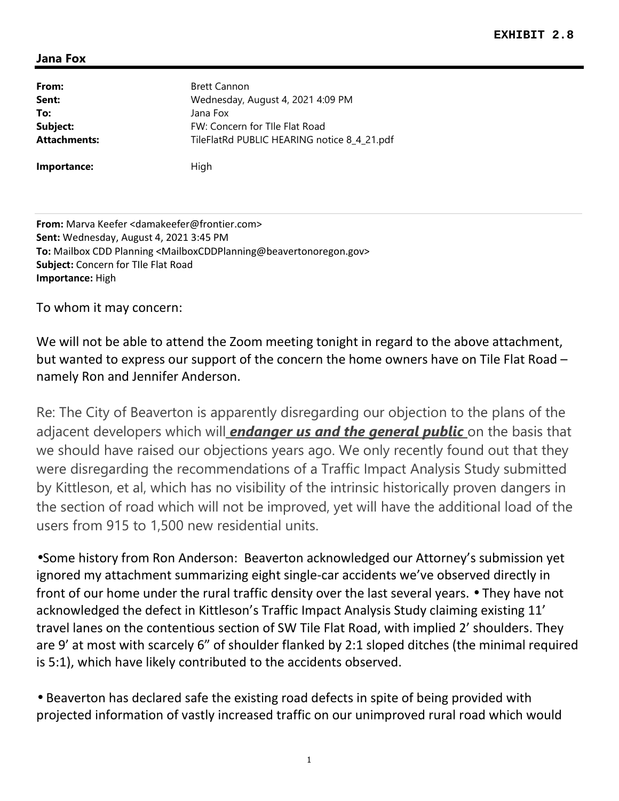| From:               | <b>Brett Cannon</b>                         |
|---------------------|---------------------------------------------|
| Sent:               | Wednesday, August 4, 2021 4:09 PM           |
| To:                 | Jana Fox                                    |
| Subject:            | FW: Concern for Tlle Flat Road              |
| <b>Attachments:</b> | TileFlatRd PUBLIC HEARING notice 8_4_21.pdf |
| Importance:         | High                                        |

**From:** Marva Keefer <damakeefer@frontier.com> **Sent:** Wednesday, August 4, 2021 3:45 PM **To:** Mailbox CDD Planning <MailboxCDDPlanning@beavertonoregon.gov> **Subject:** Concern for TIle Flat Road **Importance:** High

To whom it may concern:

We will not be able to attend the Zoom meeting tonight in regard to the above attachment, but wanted to express our support of the concern the home owners have on Tile Flat Road – namely Ron and Jennifer Anderson.

Re: The City of Beaverton is apparently disregarding our objection to the plans of the adjacent developers which will *endanger us and the general public* on the basis that we should have raised our objections years ago. We only recently found out that they were disregarding the recommendations of a Traffic Impact Analysis Study submitted by Kittleson, et al, which has no visibility of the intrinsic historically proven dangers in the section of road which will not be improved, yet will have the additional load of the users from 915 to 1,500 new residential units.

•Some history from Ron Anderson: Beaverton acknowledged our Attorney's submission yet ignored my attachment summarizing eight single-car accidents we've observed directly in front of our home under the rural traffic density over the last several years. • They have not acknowledged the defect in Kittleson's Traffic Impact Analysis Study claiming existing 11' travel lanes on the contentious section of SW Tile Flat Road, with implied 2' shoulders. They are 9' at most with scarcely 6" of shoulder flanked by 2:1 sloped ditches (the minimal required is 5:1), which have likely contributed to the accidents observed.

• Beaverton has declared safe the existing road defects in spite of being provided with projected information of vastly increased traffic on our unimproved rural road which would